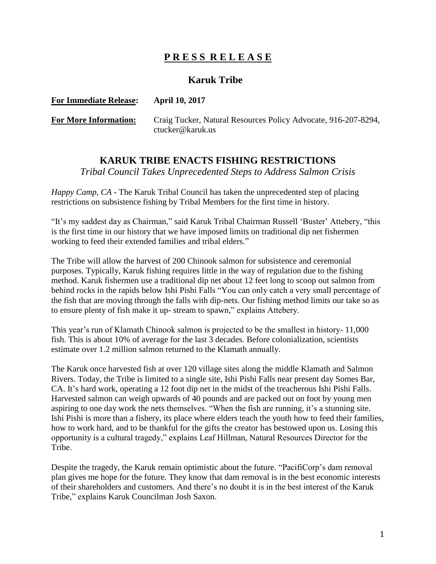## **P R E S S R E L E A S E**

## **Karuk Tribe**

## **For Immediate Release: April 10, 2017 For More Information:** Craig Tucker, Natural Resources Policy Advocate, 916-207-8294, ctucker@karuk.us

## **KARUK TRIBE ENACTS FISHING RESTRICTIONS**

*Tribal Council Takes Unprecedented Steps to Address Salmon Crisis*

*Happy Camp, CA* - The Karuk Tribal Council has taken the unprecedented step of placing restrictions on subsistence fishing by Tribal Members for the first time in history.

"It's my saddest day as Chairman," said Karuk Tribal Chairman Russell 'Buster' Attebery, "this is the first time in our history that we have imposed limits on traditional dip net fishermen working to feed their extended families and tribal elders."

The Tribe will allow the harvest of 200 Chinook salmon for subsistence and ceremonial purposes. Typically, Karuk fishing requires little in the way of regulation due to the fishing method. Karuk fishermen use a traditional dip net about 12 feet long to scoop out salmon from behind rocks in the rapids below Ishi Pishi Falls "You can only catch a very small percentage of the fish that are moving through the falls with dip-nets. Our fishing method limits our take so as to ensure plenty of fish make it up- stream to spawn," explains Attebery.

This year's run of Klamath Chinook salmon is projected to be the smallest in history- 11,000 fish. This is about 10% of average for the last 3 decades. Before colonialization, scientists estimate over 1.2 million salmon returned to the Klamath annually.

The Karuk once harvested fish at over 120 village sites along the middle Klamath and Salmon Rivers. Today, the Tribe is limited to a single site, Ishi Pishi Falls near present day Somes Bar, CA. It's hard work, operating a 12 foot dip net in the midst of the treacherous Ishi Pishi Falls. Harvested salmon can weigh upwards of 40 pounds and are packed out on foot by young men aspiring to one day work the nets themselves. "When the fish are running, it's a stunning site. Ishi Pishi is more than a fishery, its place where elders teach the youth how to feed their families, how to work hard, and to be thankful for the gifts the creator has bestowed upon us. Losing this opportunity is a cultural tragedy," explains Leaf Hillman, Natural Resources Director for the Tribe.

Despite the tragedy, the Karuk remain optimistic about the future. "PacifiCorp's dam removal plan gives me hope for the future. They know that dam removal is in the best economic interests of their shareholders and customers. And there's no doubt it is in the best interest of the Karuk Tribe," explains Karuk Councilman Josh Saxon.